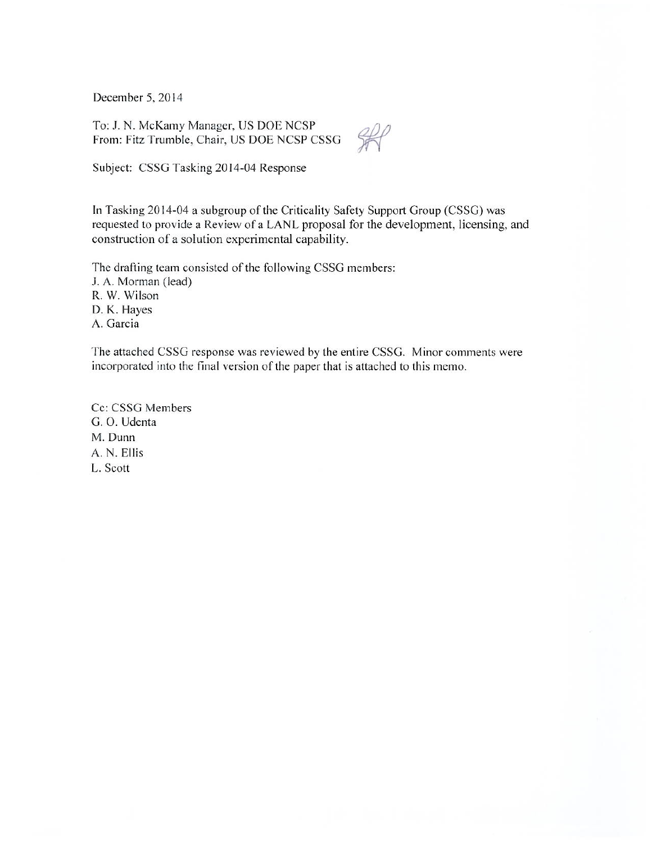December 5, 2014

To: J. N. McKamy Manager, US DOE NCSP From: Fitz Trumble, Chair, US DOE NCSP CSSG

 $\frac{200}{200}$ 

Subject: CSSG Tasking 2014-04 Response

In Tasking 2014-04 a subgroup of the Criticality Safety Support Group (CSSG) was requested to provide a Review of a LANL proposal for the development, licensing, and construction of a solution experimental capability.

The drafting team consisted of the following CSSG members: J. A. Morman (lead) R. W. Wilson D. K. Hayes A. Garcia

The attached CSSG response was reviewed by the entire CSSG. Minor comments were incorporated into the final version of the paper that is attached to this memo.

Cc: CSSG Members G. O. Udenta M. Dunn A. N. Ellis L. Scott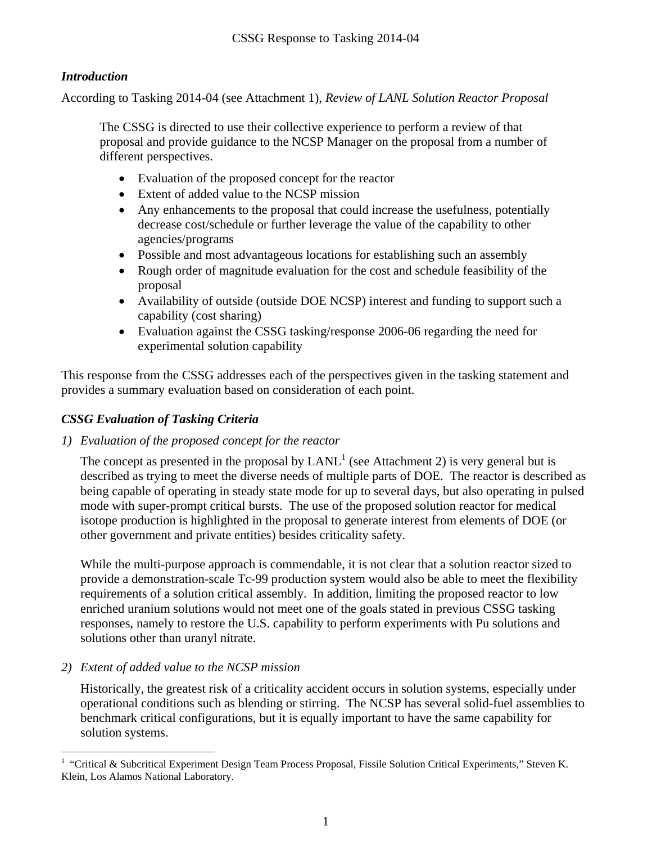### *Introduction*

According to Tasking 2014-04 (see Attachment 1), *Review of LANL Solution Reactor Proposal*

The CSSG is directed to use their collective experience to perform a review of that proposal and provide guidance to the NCSP Manager on the proposal from a number of different perspectives.

- Evaluation of the proposed concept for the reactor
- Extent of added value to the NCSP mission
- Any enhancements to the proposal that could increase the usefulness, potentially decrease cost/schedule or further leverage the value of the capability to other agencies/programs
- Possible and most advantageous locations for establishing such an assembly
- Rough order of magnitude evaluation for the cost and schedule feasibility of the proposal
- Availability of outside (outside DOE NCSP) interest and funding to support such a capability (cost sharing)
- Evaluation against the CSSG tasking/response 2006-06 regarding the need for experimental solution capability

This response from the CSSG addresses each of the perspectives given in the tasking statement and provides a summary evaluation based on consideration of each point.

### *CSSG Evaluation of Tasking Criteria*

*1) Evaluation of the proposed concept for the reactor* 

The concept as presented in the proposal by  $LANL<sup>1</sup>$  (see Attachment 2) is very general but is described as trying to meet the diverse needs of multiple parts of DOE. The reactor is described as being capable of operating in steady state mode for up to several days, but also operating in pulsed mode with super-prompt critical bursts. The use of the proposed solution reactor for medical isotope production is highlighted in the proposal to generate interest from elements of DOE (or other government and private entities) besides criticality safety.

While the multi-purpose approach is commendable, it is not clear that a solution reactor sized to provide a demonstration-scale Tc-99 production system would also be able to meet the flexibility requirements of a solution critical assembly. In addition, limiting the proposed reactor to low enriched uranium solutions would not meet one of the goals stated in previous CSSG tasking responses, namely to restore the U.S. capability to perform experiments with Pu solutions and solutions other than uranyl nitrate.

#### *2) Extent of added value to the NCSP mission*

 $\overline{a}$ 

Historically, the greatest risk of a criticality accident occurs in solution systems, especially under operational conditions such as blending or stirring. The NCSP has several solid-fuel assemblies to benchmark critical configurations, but it is equally important to have the same capability for solution systems.

<sup>&</sup>lt;sup>1</sup> "Critical & Subcritical Experiment Design Team Process Proposal, Fissile Solution Critical Experiments," Steven K. Klein, Los Alamos National Laboratory.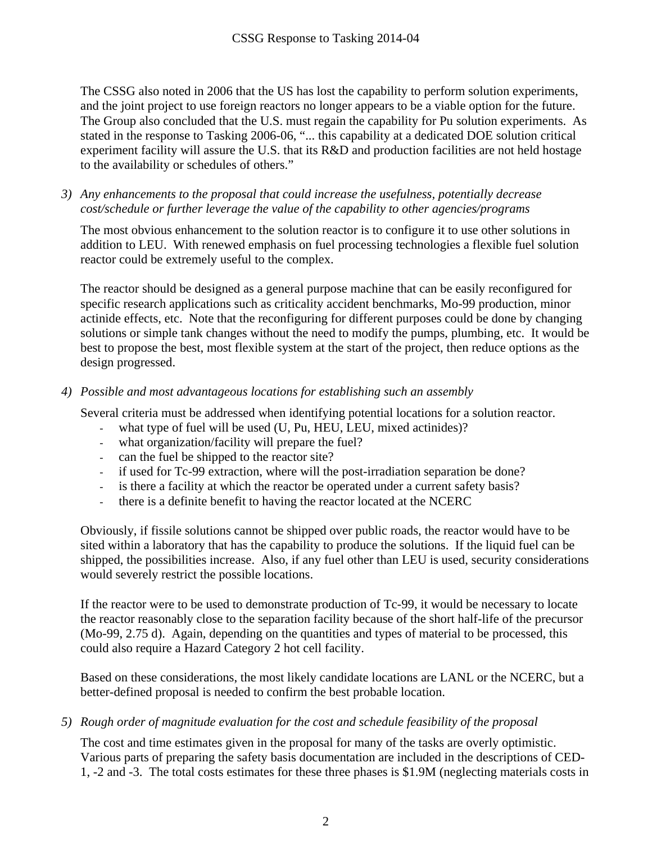The CSSG also noted in 2006 that the US has lost the capability to perform solution experiments, and the joint project to use foreign reactors no longer appears to be a viable option for the future. The Group also concluded that the U.S. must regain the capability for Pu solution experiments. As stated in the response to Tasking 2006-06, "... this capability at a dedicated DOE solution critical experiment facility will assure the U.S. that its R&D and production facilities are not held hostage to the availability or schedules of others."

*3) Any enhancements to the proposal that could increase the usefulness, potentially decrease cost/schedule or further leverage the value of the capability to other agencies/programs* 

The most obvious enhancement to the solution reactor is to configure it to use other solutions in addition to LEU. With renewed emphasis on fuel processing technologies a flexible fuel solution reactor could be extremely useful to the complex.

The reactor should be designed as a general purpose machine that can be easily reconfigured for specific research applications such as criticality accident benchmarks, Mo-99 production, minor actinide effects, etc. Note that the reconfiguring for different purposes could be done by changing solutions or simple tank changes without the need to modify the pumps, plumbing, etc. It would be best to propose the best, most flexible system at the start of the project, then reduce options as the design progressed.

#### *4) Possible and most advantageous locations for establishing such an assembly*

Several criteria must be addressed when identifying potential locations for a solution reactor.

- what type of fuel will be used (U, Pu, HEU, LEU, mixed actinides)?
- what organization/facility will prepare the fuel?
- can the fuel be shipped to the reactor site?
- if used for Tc-99 extraction, where will the post-irradiation separation be done?
- is there a facility at which the reactor be operated under a current safety basis?
- there is a definite benefit to having the reactor located at the NCERC

Obviously, if fissile solutions cannot be shipped over public roads, the reactor would have to be sited within a laboratory that has the capability to produce the solutions. If the liquid fuel can be shipped, the possibilities increase. Also, if any fuel other than LEU is used, security considerations would severely restrict the possible locations.

If the reactor were to be used to demonstrate production of Tc-99, it would be necessary to locate the reactor reasonably close to the separation facility because of the short half-life of the precursor (Mo-99, 2.75 d). Again, depending on the quantities and types of material to be processed, this could also require a Hazard Category 2 hot cell facility.

Based on these considerations, the most likely candidate locations are LANL or the NCERC, but a better-defined proposal is needed to confirm the best probable location.

#### *5) Rough order of magnitude evaluation for the cost and schedule feasibility of the proposal*

The cost and time estimates given in the proposal for many of the tasks are overly optimistic. Various parts of preparing the safety basis documentation are included in the descriptions of CED-1, -2 and -3. The total costs estimates for these three phases is \$1.9M (neglecting materials costs in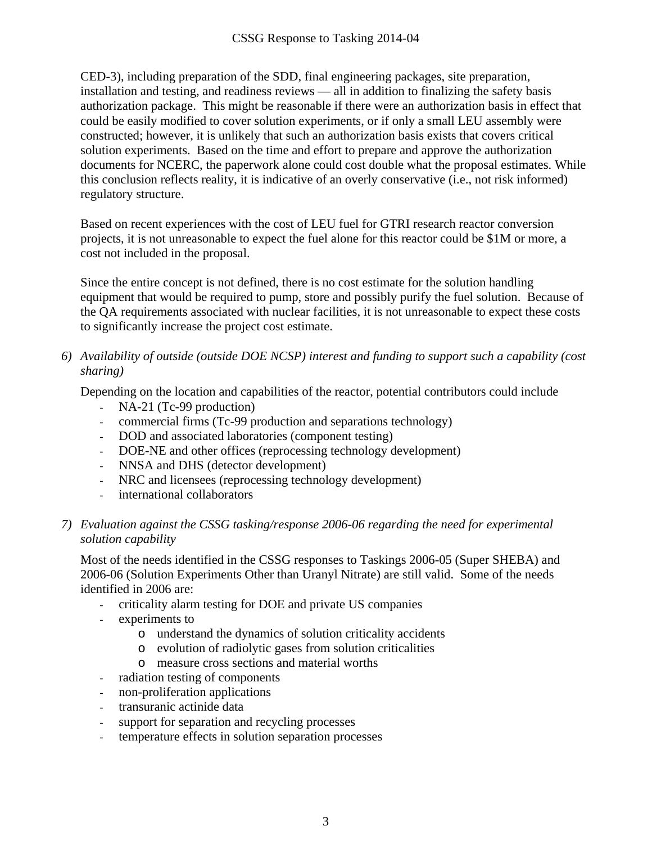CED-3), including preparation of the SDD, final engineering packages, site preparation, installation and testing, and readiness reviews — all in addition to finalizing the safety basis authorization package. This might be reasonable if there were an authorization basis in effect that could be easily modified to cover solution experiments, or if only a small LEU assembly were constructed; however, it is unlikely that such an authorization basis exists that covers critical solution experiments. Based on the time and effort to prepare and approve the authorization documents for NCERC, the paperwork alone could cost double what the proposal estimates. While this conclusion reflects reality, it is indicative of an overly conservative (i.e., not risk informed) regulatory structure.

Based on recent experiences with the cost of LEU fuel for GTRI research reactor conversion projects, it is not unreasonable to expect the fuel alone for this reactor could be \$1M or more, a cost not included in the proposal.

Since the entire concept is not defined, there is no cost estimate for the solution handling equipment that would be required to pump, store and possibly purify the fuel solution. Because of the QA requirements associated with nuclear facilities, it is not unreasonable to expect these costs to significantly increase the project cost estimate.

#### *6) Availability of outside (outside DOE NCSP) interest and funding to support such a capability (cost sharing)*

Depending on the location and capabilities of the reactor, potential contributors could include

- NA-21 (Tc-99 production)
- commercial firms (Tc-99 production and separations technology)
- DOD and associated laboratories (component testing)
- DOE-NE and other offices (reprocessing technology development)
- NNSA and DHS (detector development)
- NRC and licensees (reprocessing technology development)
- international collaborators

#### *7) Evaluation against the CSSG tasking/response 2006-06 regarding the need for experimental solution capability*

Most of the needs identified in the CSSG responses to Taskings 2006-05 (Super SHEBA) and 2006-06 (Solution Experiments Other than Uranyl Nitrate) are still valid. Some of the needs identified in 2006 are:

- criticality alarm testing for DOE and private US companies
- experiments to
	- o understand the dynamics of solution criticality accidents
	- o evolution of radiolytic gases from solution criticalities
	- o measure cross sections and material worths
- radiation testing of components
- non-proliferation applications
- transuranic actinide data
- support for separation and recycling processes
- temperature effects in solution separation processes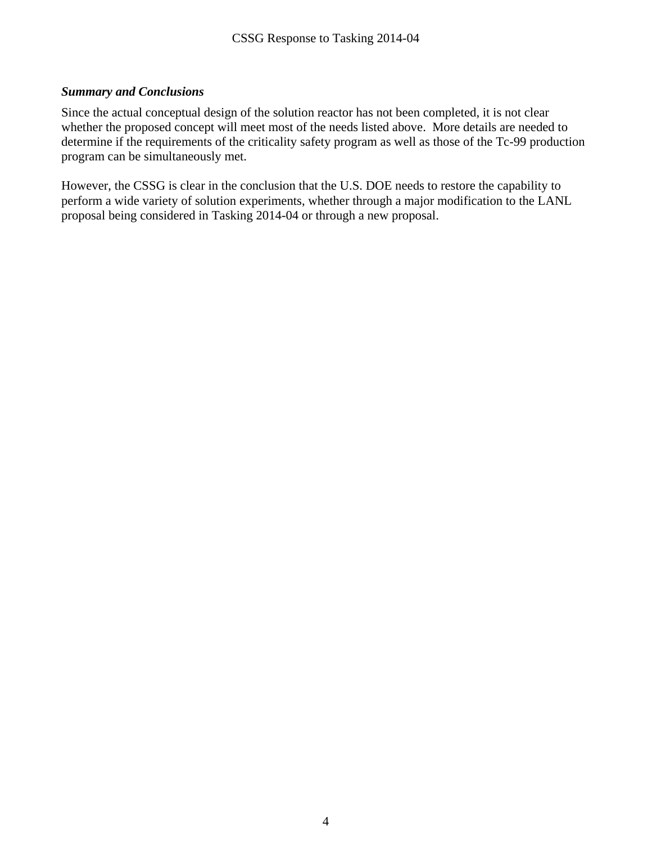#### *Summary and Conclusions*

Since the actual conceptual design of the solution reactor has not been completed, it is not clear whether the proposed concept will meet most of the needs listed above. More details are needed to determine if the requirements of the criticality safety program as well as those of the Tc-99 production program can be simultaneously met.

However, the CSSG is clear in the conclusion that the U.S. DOE needs to restore the capability to perform a wide variety of solution experiments, whether through a major modification to the LANL proposal being considered in Tasking 2014-04 or through a new proposal.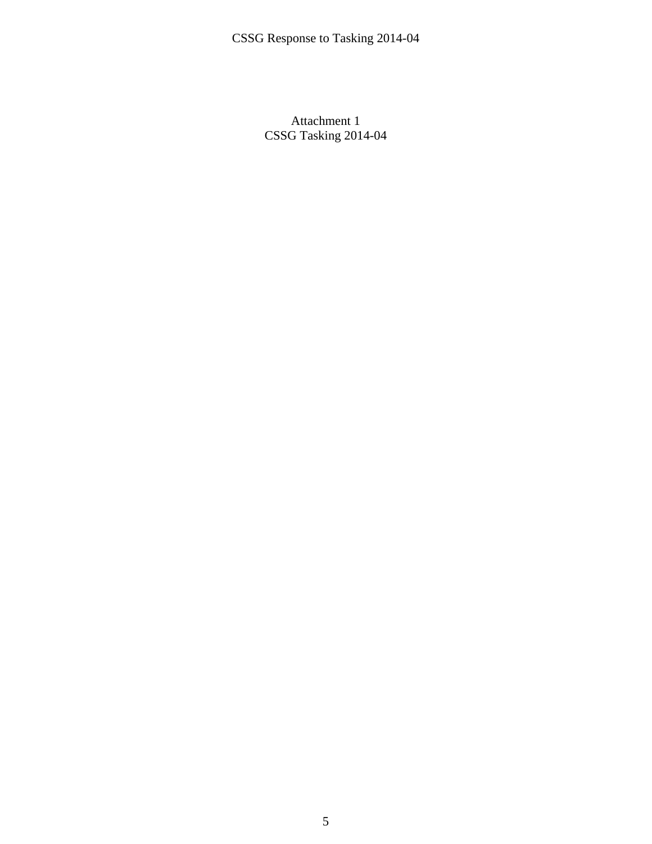Attachment 1 CSSG Tasking 2014-04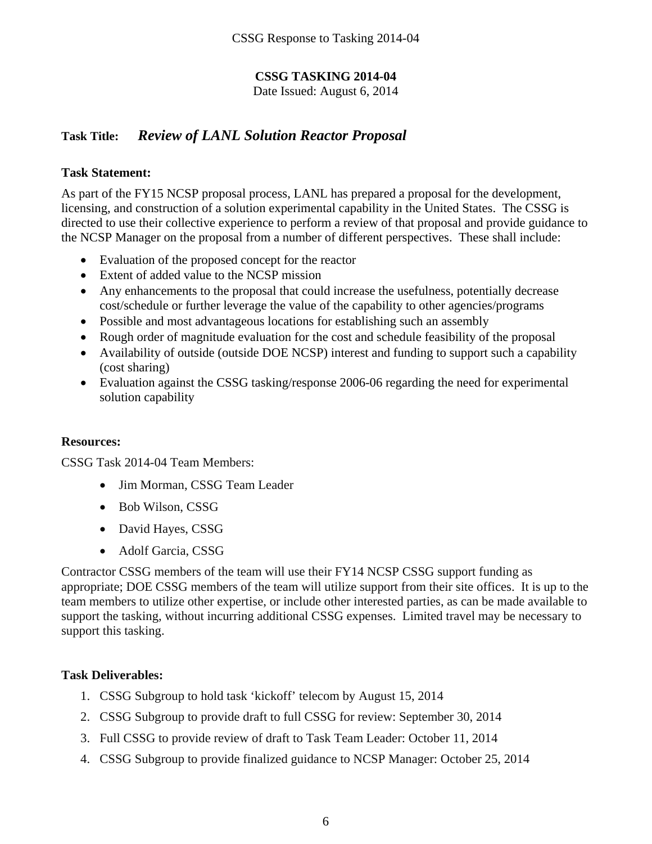### **CSSG TASKING 2014-04**

Date Issued: August 6, 2014

### **Task Title:** *Review of LANL Solution Reactor Proposal*

#### **Task Statement:**

As part of the FY15 NCSP proposal process, LANL has prepared a proposal for the development, licensing, and construction of a solution experimental capability in the United States. The CSSG is directed to use their collective experience to perform a review of that proposal and provide guidance to the NCSP Manager on the proposal from a number of different perspectives. These shall include:

- Evaluation of the proposed concept for the reactor
- Extent of added value to the NCSP mission
- Any enhancements to the proposal that could increase the usefulness, potentially decrease cost/schedule or further leverage the value of the capability to other agencies/programs
- Possible and most advantageous locations for establishing such an assembly
- Rough order of magnitude evaluation for the cost and schedule feasibility of the proposal
- Availability of outside (outside DOE NCSP) interest and funding to support such a capability (cost sharing)
- Evaluation against the CSSG tasking/response 2006-06 regarding the need for experimental solution capability

#### **Resources:**

CSSG Task 2014-04 Team Members:

- Jim Morman, CSSG Team Leader
- Bob Wilson, CSSG
- David Hayes, CSSG
- Adolf Garcia, CSSG

Contractor CSSG members of the team will use their FY14 NCSP CSSG support funding as appropriate; DOE CSSG members of the team will utilize support from their site offices. It is up to the team members to utilize other expertise, or include other interested parties, as can be made available to support the tasking, without incurring additional CSSG expenses. Limited travel may be necessary to support this tasking.

#### **Task Deliverables:**

- 1. CSSG Subgroup to hold task 'kickoff' telecom by August 15, 2014
- 2. CSSG Subgroup to provide draft to full CSSG for review: September 30, 2014
- 3. Full CSSG to provide review of draft to Task Team Leader: October 11, 2014
- 4. CSSG Subgroup to provide finalized guidance to NCSP Manager: October 25, 2014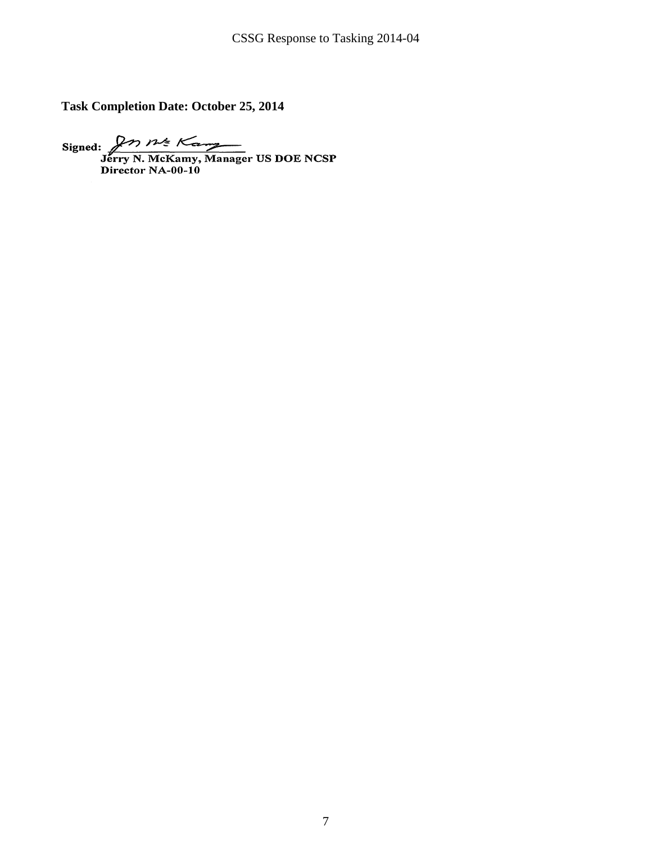**Task Completion Date: October 25, 2014** 

Signed:  $\overbrace{P}$ <br>  $\overbrace{P}$ <br>  $\overbrace{N}$  McKamy, Manager US DOE NCSP<br>
Director NA-00-10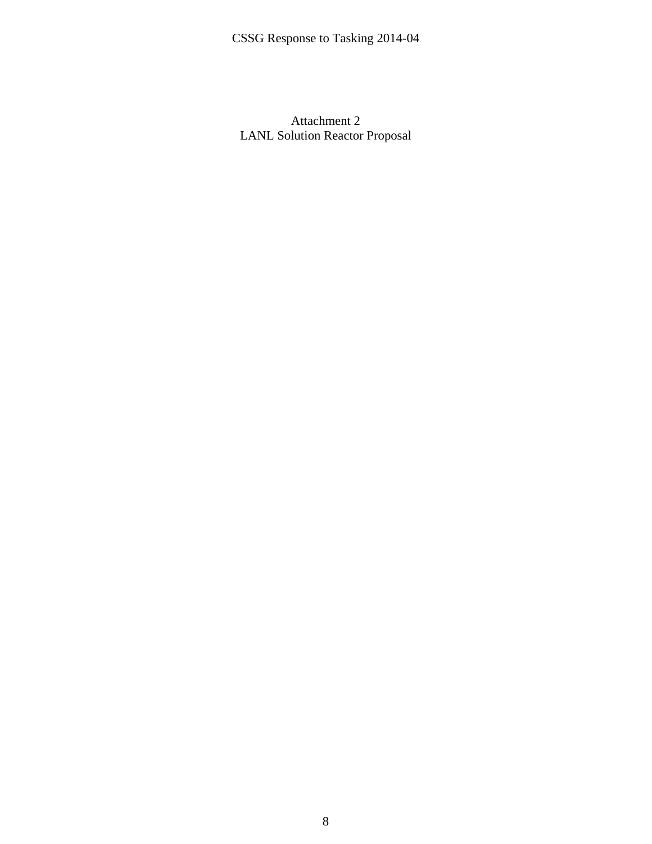Attachment 2 LANL Solution Reactor Proposal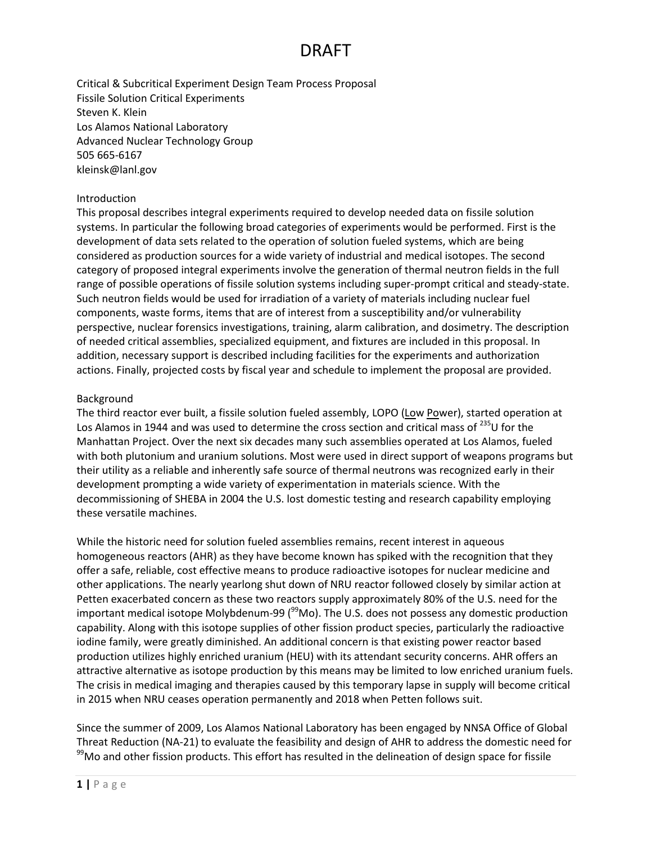Critical & Subcritical Experiment Design Team Process Proposal Fissile Solution Critical Experiments Steven K. Klein Los Alamos National Laboratory Advanced Nuclear Technology Group 505 665-6167 kleinsk@lanl.gov

#### Introduction

This proposal describes integral experiments required to develop needed data on fissile solution systems. In particular the following broad categories of experiments would be performed. First is the development of data sets related to the operation of solution fueled systems, which are being considered as production sources for a wide variety of industrial and medical isotopes. The second category of proposed integral experiments involve the generation of thermal neutron fields in the full range of possible operations of fissile solution systems including super-prompt critical and steady-state. Such neutron fields would be used for irradiation of a variety of materials including nuclear fuel components, waste forms, items that are of interest from a susceptibility and/or vulnerability perspective, nuclear forensics investigations, training, alarm calibration, and dosimetry. The description of needed critical assemblies, specialized equipment, and fixtures are included in this proposal. In addition, necessary support is described including facilities for the experiments and authorization actions. Finally, projected costs by fiscal year and schedule to implement the proposal are provided.

#### Background

The third reactor ever built, a fissile solution fueled assembly, LOPO (Low Power), started operation at Los Alamos in 1944 and was used to determine the cross section and critical mass of  $^{235}$ U for the Manhattan Project. Over the next six decades many such assemblies operated at Los Alamos, fueled with both plutonium and uranium solutions. Most were used in direct support of weapons programs but their utility as a reliable and inherently safe source of thermal neutrons was recognized early in their development prompting a wide variety of experimentation in materials science. With the decommissioning of SHEBA in 2004 the U.S. lost domestic testing and research capability employing these versatile machines.

While the historic need for solution fueled assemblies remains, recent interest in aqueous homogeneous reactors (AHR) as they have become known has spiked with the recognition that they offer a safe, reliable, cost effective means to produce radioactive isotopes for nuclear medicine and other applications. The nearly yearlong shut down of NRU reactor followed closely by similar action at Petten exacerbated concern as these two reactors supply approximately 80% of the U.S. need for the important medical isotope Molybdenum-99 ( $99$ Mo). The U.S. does not possess any domestic production capability. Along with this isotope supplies of other fission product species, particularly the radioactive iodine family, were greatly diminished. An additional concern is that existing power reactor based production utilizes highly enriched uranium (HEU) with its attendant security concerns. AHR offers an attractive alternative as isotope production by this means may be limited to low enriched uranium fuels. The crisis in medical imaging and therapies caused by this temporary lapse in supply will become critical in 2015 when NRU ceases operation permanently and 2018 when Petten follows suit.

Since the summer of 2009, Los Alamos National Laboratory has been engaged by NNSA Office of Global Threat Reduction (NA-21) to evaluate the feasibility and design of AHR to address the domestic need for <sup>99</sup>Mo and other fission products. This effort has resulted in the delineation of design space for fissile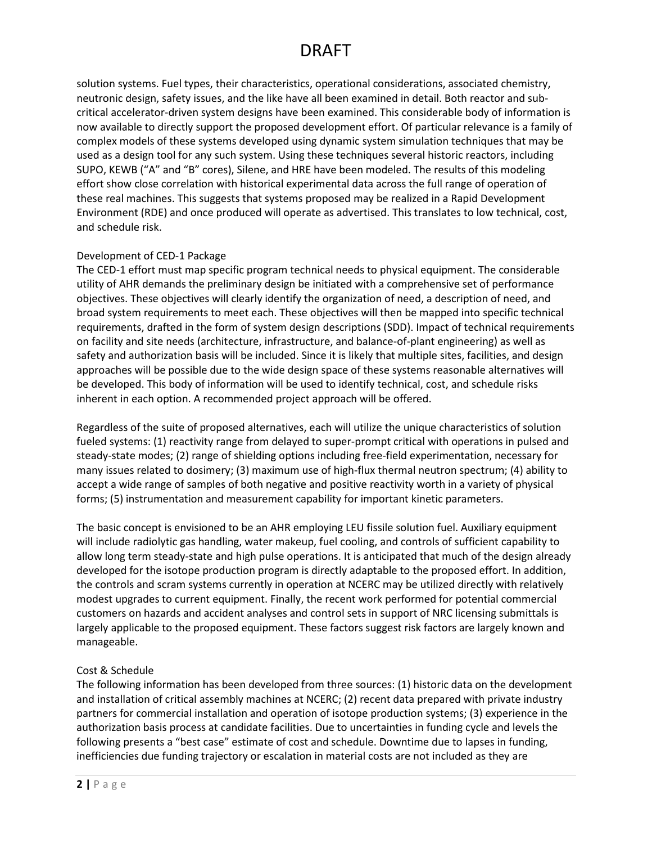solution systems. Fuel types, their characteristics, operational considerations, associated chemistry, neutronic design, safety issues, and the like have all been examined in detail. Both reactor and subcritical accelerator-driven system designs have been examined. This considerable body of information is now available to directly support the proposed development effort. Of particular relevance is a family of complex models of these systems developed using dynamic system simulation techniques that may be used as a design tool for any such system. Using these techniques several historic reactors, including SUPO, KEWB ("A" and "B" cores), Silene, and HRE have been modeled. The results of this modeling effort show close correlation with historical experimental data across the full range of operation of these real machines. This suggests that systems proposed may be realized in a Rapid Development Environment (RDE) and once produced will operate as advertised. This translates to low technical, cost, and schedule risk.

#### Development of CED-1 Package

The CED-1 effort must map specific program technical needs to physical equipment. The considerable utility of AHR demands the preliminary design be initiated with a comprehensive set of performance objectives. These objectives will clearly identify the organization of need, a description of need, and broad system requirements to meet each. These objectives will then be mapped into specific technical requirements, drafted in the form of system design descriptions (SDD). Impact of technical requirements on facility and site needs (architecture, infrastructure, and balance-of-plant engineering) as well as safety and authorization basis will be included. Since it is likely that multiple sites, facilities, and design approaches will be possible due to the wide design space of these systems reasonable alternatives will be developed. This body of information will be used to identify technical, cost, and schedule risks inherent in each option. A recommended project approach will be offered.

Regardless of the suite of proposed alternatives, each will utilize the unique characteristics of solution fueled systems: (1) reactivity range from delayed to super-prompt critical with operations in pulsed and steady-state modes; (2) range of shielding options including free-field experimentation, necessary for many issues related to dosimery; (3) maximum use of high-flux thermal neutron spectrum; (4) ability to accept a wide range of samples of both negative and positive reactivity worth in a variety of physical forms; (5) instrumentation and measurement capability for important kinetic parameters.

The basic concept is envisioned to be an AHR employing LEU fissile solution fuel. Auxiliary equipment will include radiolytic gas handling, water makeup, fuel cooling, and controls of sufficient capability to allow long term steady-state and high pulse operations. It is anticipated that much of the design already developed for the isotope production program is directly adaptable to the proposed effort. In addition, the controls and scram systems currently in operation at NCERC may be utilized directly with relatively modest upgrades to current equipment. Finally, the recent work performed for potential commercial customers on hazards and accident analyses and control sets in support of NRC licensing submittals is largely applicable to the proposed equipment. These factors suggest risk factors are largely known and manageable.

#### Cost & Schedule

The following information has been developed from three sources: (1) historic data on the development and installation of critical assembly machines at NCERC; (2) recent data prepared with private industry partners for commercial installation and operation of isotope production systems; (3) experience in the authorization basis process at candidate facilities. Due to uncertainties in funding cycle and levels the following presents a "best case" estimate of cost and schedule. Downtime due to lapses in funding, inefficiencies due funding trajectory or escalation in material costs are not included as they are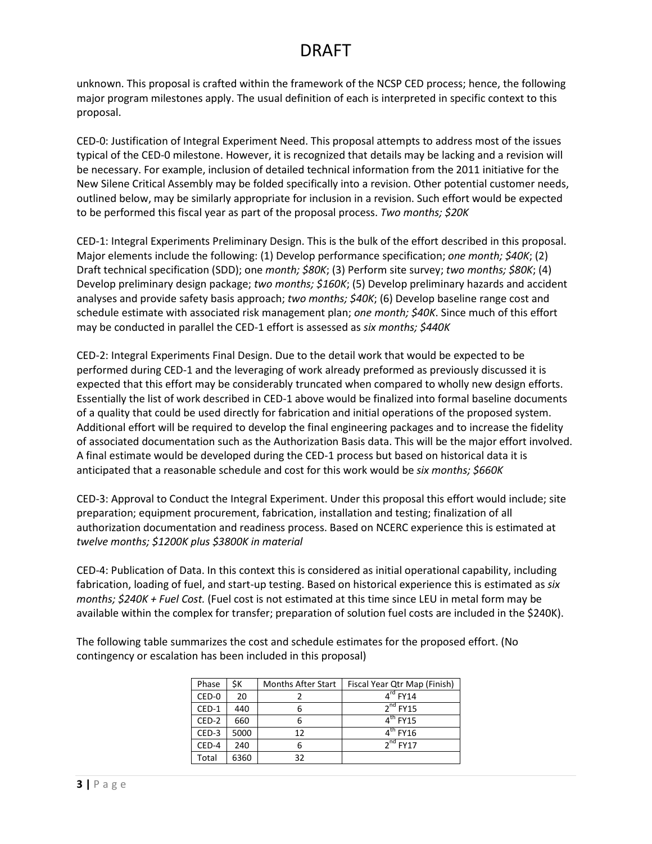unknown. This proposal is crafted within the framework of the NCSP CED process; hence, the following major program milestones apply. The usual definition of each is interpreted in specific context to this proposal.

CED-0: Justification of Integral Experiment Need. This proposal attempts to address most of the issues typical of the CED-0 milestone. However, it is recognized that details may be lacking and a revision will be necessary. For example, inclusion of detailed technical information from the 2011 initiative for the New Silene Critical Assembly may be folded specifically into a revision. Other potential customer needs, outlined below, may be similarly appropriate for inclusion in a revision. Such effort would be expected to be performed this fiscal year as part of the proposal process. *Two months; \$20K*

CED-1: Integral Experiments Preliminary Design. This is the bulk of the effort described in this proposal. Major elements include the following: (1) Develop performance specification; *one month; \$40K*; (2) Draft technical specification (SDD); one *month; \$80K*; (3) Perform site survey; *two months; \$80K*; (4) Develop preliminary design package; *two months; \$160K*; (5) Develop preliminary hazards and accident analyses and provide safety basis approach; *two months; \$40K*; (6) Develop baseline range cost and schedule estimate with associated risk management plan; *one month; \$40K*. Since much of this effort may be conducted in parallel the CED-1 effort is assessed as *six months; \$440K*

CED-2: Integral Experiments Final Design. Due to the detail work that would be expected to be performed during CED-1 and the leveraging of work already preformed as previously discussed it is expected that this effort may be considerably truncated when compared to wholly new design efforts. Essentially the list of work described in CED-1 above would be finalized into formal baseline documents of a quality that could be used directly for fabrication and initial operations of the proposed system. Additional effort will be required to develop the final engineering packages and to increase the fidelity of associated documentation such as the Authorization Basis data. This will be the major effort involved. A final estimate would be developed during the CED-1 process but based on historical data it is anticipated that a reasonable schedule and cost for this work would be *six months; \$660K*

CED-3: Approval to Conduct the Integral Experiment. Under this proposal this effort would include; site preparation; equipment procurement, fabrication, installation and testing; finalization of all authorization documentation and readiness process. Based on NCERC experience this is estimated at *twelve months; \$1200K plus \$3800K in material*

CED-4: Publication of Data. In this context this is considered as initial operational capability, including fabrication, loading of fuel, and start-up testing. Based on historical experience this is estimated as *six months; \$240K + Fuel Cost.* (Fuel cost is not estimated at this time since LEU in metal form may be available within the complex for transfer; preparation of solution fuel costs are included in the \$240K).

The following table summarizes the cost and schedule estimates for the proposed effort. (No contingency or escalation has been included in this proposal)

| Phase   | ŚΚ.  | <b>Months After Start</b> | Fiscal Year Qtr Map (Finish) |
|---------|------|---------------------------|------------------------------|
| CED-0   | 20   |                           | $4rd$ FY14                   |
| CED-1   | 440  | 6                         | $2nd$ FY15                   |
| $CED-2$ | 660  | 6                         | $4^{\text{th}}$ FY15         |
| CED-3   | 5000 | 12                        | $4th$ FY16                   |
| CED-4   | 240  | 6                         | $2nd$ FY17                   |
| Total   | 6360 | 32                        |                              |